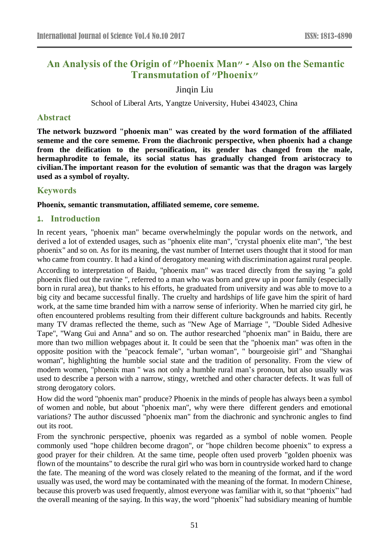# **An Analysis of the Origin of "Phoenix Man" - Also on the Semantic Transmutation of "Phoenix"**

Jinqin Liu

School of Liberal Arts, Yangtze University, Hubei 434023, China

### **Abstract**

**The network buzzword "phoenix man" was created by the word formation of the affiliated sememe and the core sememe. From the diachronic perspective, when phoenix had a change from the deification to the personification, its gender has changed from the male, hermaphrodite to female, its social status has gradually changed from aristocracy to civilian.The important reason for the evolution of semantic was that the dragon was largely used as a symbol of royalty.**

## **Keywords**

#### **Phoenix, semantic transmutation, affiliated sememe, core sememe.**

## **1. Introduction**

In recent years, "phoenix man" became overwhelmingly the popular words on the network, and derived a lot of extended usages, such as "phoenix elite man", "crystal phoenix elite man", "the best phoenix" and so on. As for its meaning, the vast number of Internet users thought that it stood for man who came from country. It had a kind of derogatory meaning with discrimination against rural people.

According to interpretation of Baidu, "phoenix man" was traced directly from the saying "a gold phoenix flied out the ravine ", referred to a man who was born and grew up in poor family (especially born in rural area), but thanks to his efforts, he graduated from university and was able to move to a big city and became successful finally. The cruelty and hardships of life gave him the spirit of hard work, at the same time branded him with a narrow sense of inferiority. When he married city girl, he often encountered problems resulting from their different culture backgrounds and habits. Recently many TV dramas reflected the theme, such as "New Age of Marriage ", "Double Sided Adhesive Tape", "Wang Gui and Anna" and so on. The author researched "phoenix man" in Baidu, there are more than two million webpages about it. It could be seen that the "phoenix man" was often in the opposite position with the "peacock female", "urban woman", " bourgeoisie girl" and "Shanghai woman", highlighting the humble social state and the tradition of personality. From the view of modern women, "phoenix man " was not only a humble rural man's pronoun, but also usually was used to describe a person with a narrow, stingy, wretched and other character defects. It was full of strong derogatory colors.

How did the word "phoenix man" produce? Phoenix in the minds of people has always been a symbol of women and noble, but about "phoenix man", why were there different genders and emotional variations? The author discussed "phoenix man" from the diachronic and synchronic angles to find out its root.

From the synchronic perspective, phoenix was regarded as a symbol of noble women. People commonly used "hope children become dragon", or "hope children become phoenix" to express a good prayer for their children. At the same time, people often used proverb "golden phoenix was flown of the mountains" to describe the rural girl who was born in countryside worked hard to change the fate. The meaning of the word was closely related to the meaning of the format, and if the word usually was used, the word may be contaminated with the meaning of the format. In modern Chinese, because this proverb was used frequently, almost everyone was familiar with it, so that "phoenix" had the overall meaning of the saying. In this way, the word "phoenix" had subsidiary meaning of humble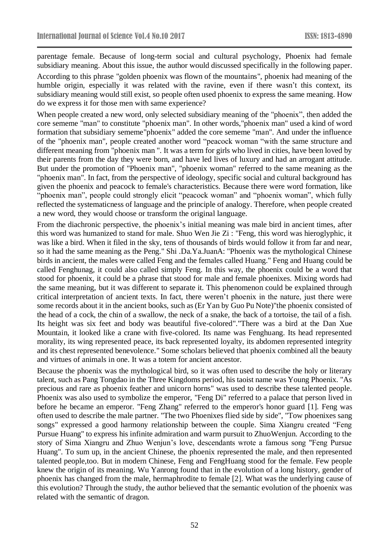parentage female. Because of long-term social and cultural psychology, Phoenix had female subsidiary meaning. About this issue, the author would discussed specifically in the following paper. According to this phrase "golden phoenix was flown of the mountains", phoenix had meaning of the humble origin, especially it was related with the ravine, even if there wasn't this context, its subsidiary meaning would still exist, so people often used phoenix to express the same meaning. How do we express it for those men with same experience?

When people created a new word, only selected subsidiary meaning of the "phoenix", then added the core sememe "man" to constitute "phoenix man". In other words,"phoenix man" used a kind of word formation that subsidiary sememe"phoenix" added the core sememe "man". And under the influence of the "phoenix man", people created another word "peacock woman "with the same structure and different meaning from "phoenix man ". It was a term for girls who lived in cities, have been loved by their parents from the day they were born, and have led lives of luxury and had an arrogant attitude. But under the promotion of "Phoenix man", "phoenix woman" referred to the same meaning as the "phoenix man". In fact, from the perspective of ideology, specific social and cultural background has given the phoenix and peacock to female's characteristics. Because there were word formation, like "phoenix man", people could strongly elicit "peacock woman" and "phoenix woman", which fully reflected the systematicness of language and the principle of analogy. Therefore, when people created a new word, they would choose or transform the original language.

From the diachronic perspective, the phoenix's initial meaning was male bird in ancient times, after this word was humanized to stand for male. Shuo Wen Jie Zi : "Feng, this word was hieroglyphic, it was like a bird. When it filed in the sky, tens of thousands of birds would follow it from far and near, so it had the same meaning as the Peng." Shi .Da.Ya.JuanA: "Phoenix was the mythological Chinese birds in ancient, the males were called Feng and the females called Huang." Feng and Huang could be called Fenghunag, it could also called simply Feng. In this way, the phoenix could be a word that stood for phoenix, it could be a phrase that stood for male and female phoenixes. Mixing words had the same meaning, but it was different to separate it. This phenomenon could be explained through critical interpretation of ancient texts. In fact, there weren't phoenix in the nature, just there were some records about it in the ancient books, such as (Er Yan by Guo Pu Note)"the phoenix consisted of the head of a cock, the chin of a swallow, the neck of a snake, the back of a tortoise, the tail of a fish. Its height was six feet and body was beautiful five-colored"."There was a bird at the Dan Xue Mountain, it looked like a crane with five-colored. Its name was Fenghuang. Its head represented morality, its wing represented peace, its back represented loyalty, its abdomen represented integrity and its chest represented benevolence." Some scholars believed that phoenix combined all the beauty and virtues of animals in one. It was a totem for ancient ancestor.

Because the phoenix was the mythological bird, so it was often used to describe the holy or literary talent, such as Pang Tongdao in the Three Kingdoms period, his taoist name was Young Phoenix. "As precious and rare as phoenix feather and unicorn horns" was used to describe these talented people. Phoenix was also used to symbolize the emperor, "Feng Di" referred to a palace that person lived in before he became an emperor. "Feng Zhang" referred to the emperor's honor guard [1]. Feng was often used to describe the male partner. "The two Phoenixes flied side by side", "Tow phoenixes sang songs" expressed a good harmony relationship between the couple. Sima Xiangru created "Feng Pursue Huang" to express his infinite admiration and warm pursuit to ZhuoWenjun. According to the story of Sima Xiangru and Zhuo Wenjun's love, descendants wrote a famous song "Feng Pursue Huang". To sum up, in the ancient Chinese, the phoenix represented the male, and then represented talented people,too. But in modern Chinese, Feng and FengHuang stood for the female. Few people knew the origin of its meaning. Wu Yanrong found that in the evolution of a long history, gender of phoenix has changed from the male, hermaphrodite to female [2]. What was the underlying cause of this evolution? Through the study, the author believed that the semantic evolution of the phoenix was related with the semantic of dragon.